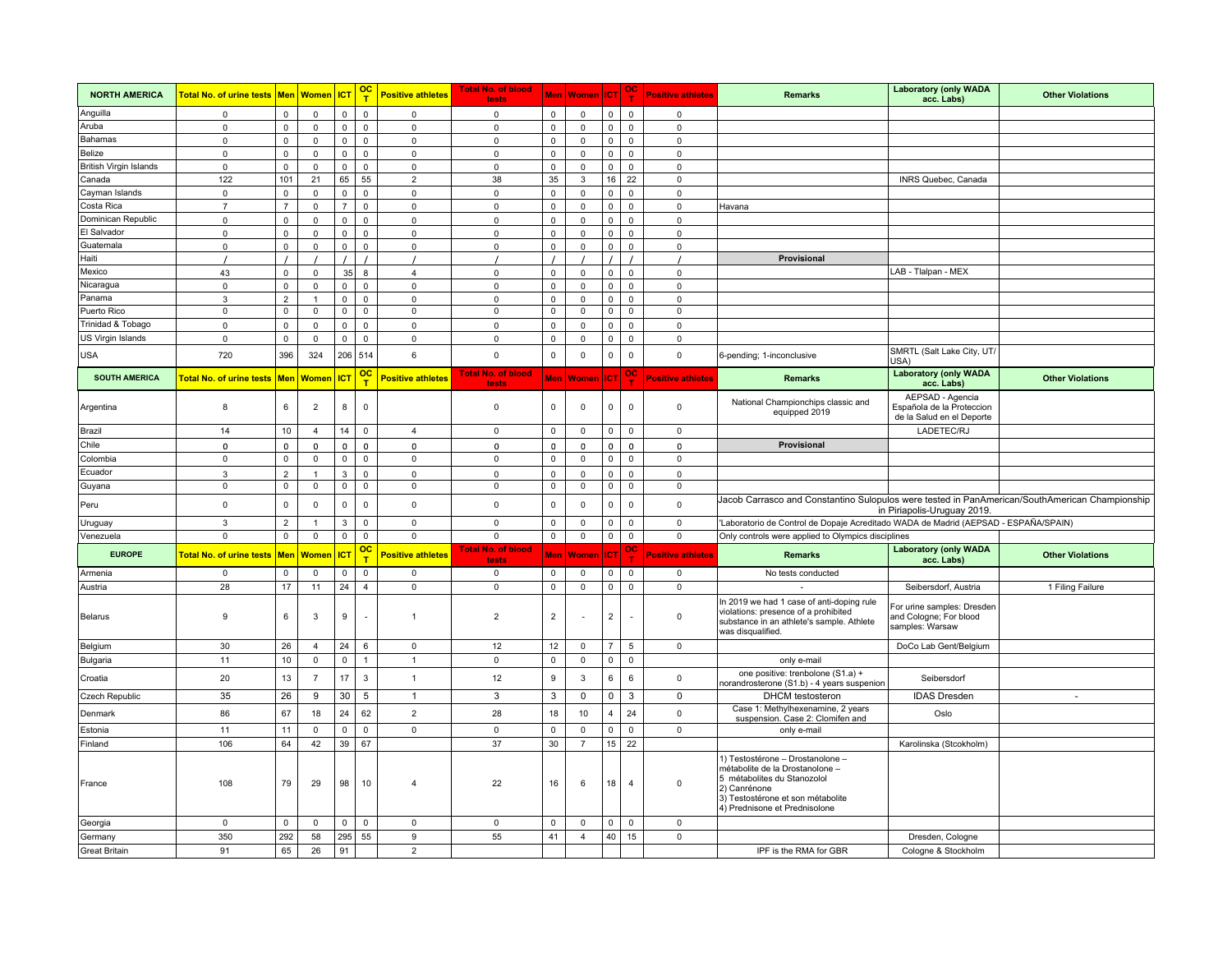| <b>NORTH AMERICA</b>   |                                       |                     |                     |                     | $\overline{\text{oc}}$<br>т | <b>Positive athletes</b> | <b>Total No. of blood</b><br>tests |                     | Men   Women   ICT                                             |                     | $\frac{1}{\sqrt{1}}$ | <b>Positive athletes</b> | <b>Remarks</b>                                                                                                                                                                           | <b>Laboratory (only WADA</b><br>acc. Labs)                                 | <b>Other Violations</b> |
|------------------------|---------------------------------------|---------------------|---------------------|---------------------|-----------------------------|--------------------------|------------------------------------|---------------------|---------------------------------------------------------------|---------------------|----------------------|--------------------------|------------------------------------------------------------------------------------------------------------------------------------------------------------------------------------------|----------------------------------------------------------------------------|-------------------------|
| Anguilla               | $\mathsf 0$                           | $\mathsf 0$         | $\mathsf 0$         | $\mathsf 0$         | $\mathsf 0$                 | $\mathsf 0$              | $\mathsf 0$                        | $\mathbf 0$         | $\mathsf 0$                                                   | $\mathsf{O}\xspace$ | $\mathsf 0$          | $\mathbf 0$              |                                                                                                                                                                                          |                                                                            |                         |
| Aruba                  | 0                                     | $\mathsf 0$         | $\mathsf 0$         | $\mathsf 0$         | $\mathsf 0$                 | $\mathsf 0$              | $\mathsf 0$                        | 0                   | $\mathsf 0$                                                   | $\mathsf 0$         | $\mathsf 0$          | $\mathsf 0$              |                                                                                                                                                                                          |                                                                            |                         |
| Bahamas                | 0                                     | $\mathsf 0$         | $\mathbf 0$         | $\mathbf 0$         | $\mathbf 0$                 | $\mathbf 0$              | $\mathsf 0$                        | 0                   | $\mathsf 0$                                                   | $\mathbf 0$         | $\mathbf 0$          | $\mathbf 0$              |                                                                                                                                                                                          |                                                                            |                         |
| Belize                 | 0                                     | $\mathsf 0$         | $\mathsf 0$         | $\mathsf 0$         | 0                           | $\mathsf 0$              | $\mathsf 0$                        | 0                   | $\mathsf 0$                                                   | $\mathsf 0$         | $\mathsf 0$          | 0                        |                                                                                                                                                                                          |                                                                            |                         |
| British Virgin Islands | 0                                     | $\mathbf 0$         | $\mathbf 0$         | $\mathbf 0$         | 0                           | $\mathbf 0$              | 0                                  | 0                   | $\mathbf{0}$                                                  | 0                   | $\mathsf 0$          | 0                        |                                                                                                                                                                                          |                                                                            |                         |
| Canada                 | 122                                   | 101                 | 21                  | 65                  | 55                          | $\overline{2}$           | 38                                 | 35                  | $\mathbf{3}$                                                  | 16                  | 22                   | $\mathsf 0$              |                                                                                                                                                                                          | INRS Quebec, Canada                                                        |                         |
| Cayman Islands         | $\mathbf 0$                           | $\mathsf 0$         | $\mathsf 0$         | $\mathsf 0$         | 0                           | $\mathsf 0$              | $\mathsf 0$                        | 0                   | $\mathsf 0$                                                   | 0                   | $\mathsf 0$          | $\mathsf 0$              |                                                                                                                                                                                          |                                                                            |                         |
| Costa Rica             | $\overline{7}$                        | $\overline{7}$      | 0                   | $\overline{7}$      | 0                           | $\mathbf 0$              | 0                                  | 0                   | $\mathbf 0$                                                   | 0                   | 0                    | $\mathbf 0$              | Havana                                                                                                                                                                                   |                                                                            |                         |
| Dominican Republic     | $\mathsf 0$                           | $\mathsf 0$         | $\mathbf 0$         | $\mathsf 0$         | 0                           | $\mathbf 0$              | $\mathbf 0$                        | $\mathbf 0$         | $\mathbf{0}$                                                  | 0                   | $\mathbf 0$          | $\mathbf 0$              |                                                                                                                                                                                          |                                                                            |                         |
| El Salvador            | 0                                     | $\mathsf 0$         | $\mathsf 0$         | $\mathsf 0$         | 0                           | $\mathsf 0$              | $\mathsf 0$                        | 0                   | $\mathsf 0$                                                   | 0                   | $\mathsf 0$          | $\Omega$                 |                                                                                                                                                                                          |                                                                            |                         |
| Guatemala              | $\mathsf 0$                           | $\mathsf 0$         | $\mathsf 0$         | $\mathsf{O}\xspace$ | $\mathsf 0$                 | $\mathsf 0$              | $\mathsf 0$                        | 0                   | $\mathsf 0$                                                   | $\mathsf 0$         | $\mathsf 0$          | $\mathsf 0$              |                                                                                                                                                                                          |                                                                            |                         |
| Haiti                  |                                       |                     |                     |                     |                             |                          |                                    |                     |                                                               |                     |                      |                          | Provisional                                                                                                                                                                              |                                                                            |                         |
| Mexico                 | 43                                    | $\mathsf 0$         | $\mathsf 0$         | 35                  | 8                           | $\overline{4}$           | $\mathsf 0$                        | $\mathsf{O}\xspace$ | $\mathsf 0$                                                   | $\mathsf 0$         | $\mathsf 0$          | $\mathsf 0$              |                                                                                                                                                                                          | LAB - Tlalpan - MEX                                                        |                         |
| Nicaragua              | $\mathbf 0$                           | $\mathsf 0$         | $\mathsf 0$         | $\mathsf 0$         | $\mathsf 0$                 | $\mathsf 0$              | $\mathsf 0$                        | $\mathbf 0$         | $\mathsf 0$                                                   | $\mathsf 0$         | $\mathsf 0$          | $\mathsf 0$              |                                                                                                                                                                                          |                                                                            |                         |
| Panama                 | 3                                     | $\overline{2}$      | $\overline{1}$      | $\mathsf 0$         | $\mathbf 0$                 | $\mathbf 0$              | $\mathsf 0$                        | 0                   | $\mathsf 0$                                                   | $\mathbf 0$         | $\mathsf 0$          | $\mathbf 0$              |                                                                                                                                                                                          |                                                                            |                         |
| Puerto Rico            | $\mathbf{0}$                          | $\mathbf 0$         | $\mathbf 0$         | $\mathbf 0$         | 0                           | $\mathbf 0$              | 0                                  | 0                   | $\mathbf 0$                                                   | $\mathbf 0$         | $\mathbf{0}$         | $\mathbf{0}$             |                                                                                                                                                                                          |                                                                            |                         |
| Trinidad & Tobago      | $\mathbf 0$                           | $\mathsf 0$         | $\mathsf 0$         | $\mathsf 0$         | 0                           | $\mathsf 0$              | $\mathsf 0$                        | 0                   | $\mathbf 0$                                                   | 0                   | $\mathsf 0$          | $\mathsf 0$              |                                                                                                                                                                                          |                                                                            |                         |
| US Virgin Islands      | 0                                     | $\mathsf 0$         | 0                   | $\mathbf 0$         | 0                           | $\mathbf 0$              | 0                                  | 0                   | $\mathbf 0$                                                   | $\mathbf 0$         | $\mathbf 0$          | 0                        |                                                                                                                                                                                          |                                                                            |                         |
| <b>USA</b>             | 720                                   | 396                 | 324                 |                     | $206$ 514                   | 6                        | $\mathsf 0$                        | 0                   | $\mathbf 0$                                                   | $\mathsf 0$         | $\mathsf 0$          | $\mathbf 0$              | 6-pending; 1-inconclusive                                                                                                                                                                | SMRTL (Salt Lake City, UT/<br>USA)                                         |                         |
| <b>SOUTH AMERICA</b>   | Total No. of urine tests              |                     | Men   Women   ICT   |                     | $\frac{1}{T}$               | <b>Positive athletes</b> | <b>Total No. of blood</b><br>tests |                     | Men Women $ $ ICT $\begin{array}{ c c }\n\hline\n\end{array}$ |                     |                      | <b>Positive athletes</b> | <b>Remarks</b>                                                                                                                                                                           | <b>Laboratory (only WADA</b><br>acc. Labs)                                 | <b>Other Violations</b> |
| Argentina              | 8                                     | 6                   | $\overline{2}$      | 8                   | $\mathbf 0$                 |                          | $\mathsf 0$                        | 0                   | $\mathsf 0$                                                   | $\mathbf 0$         | $\mathsf 0$          | $\Omega$                 | National Championchips classic and<br>equipped 2019                                                                                                                                      | AEPSAD - Agencia<br>Española de la Proteccion<br>de la Salud en el Deporte |                         |
| Brazil                 | 14                                    | 10                  | $\overline{4}$      | 14                  | 0                           | $\overline{4}$           | $\mathsf 0$                        | 0                   | $\mathbf 0$                                                   | 0                   | $\mathsf 0$          | $\mathbf{0}$             |                                                                                                                                                                                          | LADETEC/RJ                                                                 |                         |
| Chile                  | $\mathbf 0$                           | $\mathsf{O}\xspace$ | $\mathsf{O}\xspace$ | $\mathbf 0$         | 0                           | $\mathbf 0$              | $\mathsf 0$                        | 0                   | $\mathbf 0$                                                   | $\mathbf 0$         | $\mathbf 0$          | $\mathbf 0$              | Provisional                                                                                                                                                                              |                                                                            |                         |
| Colombia               | $\mathbf 0$                           | $\mathbf 0$         | $\mathsf 0$         | $\mathsf 0$         | 0                           | 0                        | $\mathsf 0$                        | 0                   | $\mathsf 0$                                                   | $\mathbf 0$         | $\mathbf 0$          | $\mathsf 0$              |                                                                                                                                                                                          |                                                                            |                         |
| Ecuador                | 3                                     | $\overline{2}$      | $\overline{1}$      | 3                   | 0                           | $\mathsf 0$              | $\mathsf 0$                        | 0                   | $\mathsf 0$                                                   | 0                   | $\mathsf 0$          | 0                        |                                                                                                                                                                                          |                                                                            |                         |
| Guyana                 | 0                                     | $\mathsf 0$         | $\mathbf 0$         | $\mathsf 0$         | 0                           | 0                        | $\mathsf 0$                        | 0                   | $\mathsf 0$                                                   | $\mathsf 0$         | $\mathsf 0$          | $\mathbf 0$              |                                                                                                                                                                                          |                                                                            |                         |
| Peru                   | 0                                     | $\mathsf 0$         | $\mathbf 0$         | $\mathbf 0$         | 0                           | $\mathbf 0$              | 0                                  | 0                   | $\mathbf 0$                                                   | 0                   | $\mathsf 0$          | $\mathsf{o}\,$           | Jacob Carrasco and Constantino Sulopulos were tested in PanAmerican/SouthAmerican Championship                                                                                           | in Piriapolis-Uruguay 2019.                                                |                         |
| Uruguay                | 3                                     | $\overline{2}$      | $\overline{1}$      | $\mathbf{3}$        | $\mathsf 0$                 | $\mathsf 0$              | $\mathbf 0$                        | 0                   | $\mathsf 0$                                                   | $\mathbf 0$         | $\mathbf 0$          | $\mathbf{0}$             | 'Laboratorio de Control de Dopaje Acreditado WADA de Madrid (AEPSAD - ESPAÑA/SPAIN)                                                                                                      |                                                                            |                         |
| Venezuela              | $\mathbf 0$                           | $\mathsf 0$         | $\mathsf 0$         | $\mathsf 0$         | 0                           | $\mathbf 0$              | $\mathbf 0$                        | $\mathbf{0}$        | $\mathsf{O}\xspace$                                           | $\mathsf 0$         | $\mathsf 0$          | $\mathsf 0$              | Only controls were applied to Olympics disciplines                                                                                                                                       |                                                                            |                         |
| <b>EUROPE</b>          | <mark>Total No. of urine tests</mark> | Men                 | <b>Women</b>        | IC <sub>1</sub>     | <u>၀င</u>                   | <b>Positive athletes</b> | Total No. of blood<br>tests        |                     | Men Women ICT                                                 |                     | oc<br>T              | <b>Positive athletes</b> | <b>Remarks</b>                                                                                                                                                                           | <b>Laboratory (only WADA</b><br>acc. Labs)                                 | <b>Other Violations</b> |
| Armenia                | $\mathbf 0$                           | $\mathbf 0$         | $\mathbf 0$         | 0                   | 0                           | $\mathbf 0$              | 0                                  | 0                   | $\mathbf 0$                                                   | $\mathbf 0$         | $\mathbf 0$          | $\mathbf 0$              | No tests conducted                                                                                                                                                                       |                                                                            |                         |
| Austria                | 28                                    | 17                  | 11                  | 24                  | $\overline{4}$              | $\mathsf 0$              | $\mathsf 0$                        | 0                   | $\mathsf 0$                                                   | $\mathbf 0$         | $\mathsf 0$          | $\mathbf 0$              |                                                                                                                                                                                          | Seibersdorf, Austria                                                       | 1 Filing Failure        |
| Belarus                | 9                                     | 6                   | $\mathbf{3}$        | 9                   | $\sim$                      | $\overline{1}$           | $\overline{2}$                     | $\overline{2}$      | $\sim$                                                        | $\overline{2}$      |                      | $\mathbf 0$              | In 2019 we had 1 case of anti-doping rule<br>violations: presence of a prohibited<br>substance in an athlete's sample. Athlete<br>was disqualified.                                      | For urine samples: Dresden<br>and Cologne; For blood<br>samples: Warsaw    |                         |
| <b>Belgium</b>         | 30                                    | 26                  | $\overline{4}$      | 24                  | 6                           | $\mathsf 0$              | 12                                 | 12                  | $\mathsf 0$                                                   | $\overline{7}$      | $5\phantom{.0}$      | $\mathsf 0$              |                                                                                                                                                                                          | DoCo Lab Gent/Belgium                                                      |                         |
| Bulgaria               | 11                                    | 10                  | $\mathsf 0$         | $\mathsf 0$         | $\mathbf{1}$                | $\mathbf{1}$             | $\mathsf 0$                        | 0                   | $\mathsf 0$                                                   | 0                   | $\mathsf 0$          |                          | only e-mail                                                                                                                                                                              |                                                                            |                         |
| Croatia                | 20                                    | 13                  | $\overline{7}$      | 17                  | $\mathbf{3}$                | $\mathbf{1}$             | 12                                 | 9                   | 3                                                             | 6                   | 6                    | $\mathsf 0$              | one positive: trenbolone (S1.a) +<br>norandrosterone (S1.b) - 4 years suspenion                                                                                                          | Seibersdorf                                                                |                         |
| Czech Republic         | 35                                    | 26                  | 9                   | 30                  | 5                           | $\mathbf{1}$             | 3                                  | 3                   | $\mathbf 0$                                                   | 0                   | 3                    | 0                        | DHCM testosteron                                                                                                                                                                         | <b>IDAS Dresden</b>                                                        | $\sim$                  |
| Denmark                | 86                                    | 67                  | 18                  | 24                  | 62                          | $\overline{2}$           | 28                                 | 18                  | 10                                                            | 4                   | 24                   | $\mathbf{0}$             | Case 1: Methylhexenamine, 2 years<br>suspension. Case 2: Clomifen and                                                                                                                    | Oslo                                                                       |                         |
| Estonia                | 11                                    | 11                  | $\mathbf 0$         | $\mathsf 0$         | $\mathsf 0$                 | $\mathbf 0$              | $\mathbf 0$                        | 0                   | $\mathbf{0}$                                                  | $\mathbf 0$         | $\mathsf 0$          | $\mathbf 0$              | only e-mail                                                                                                                                                                              |                                                                            |                         |
| Finland                | 106                                   | 64                  | 42                  | 39                  | 67                          |                          | 37                                 | 30                  | $\overline{7}$                                                | 15                  | 22                   |                          |                                                                                                                                                                                          | Karolinska (Stcokholm)                                                     |                         |
| France                 | 108                                   | 79                  | 29                  | 98                  | 10                          | $\overline{4}$           | 22                                 | 16                  | 6                                                             | 18                  | $\overline{4}$       | $\mathbf 0$              | 1) Testostérone - Drostanolone -<br>métabolite de la Drostanolone -<br>5 métabolites du Stanozolol<br>2) Canrénone<br>3) Testostérone et son métabolite<br>4) Prednisone et Prednisolone |                                                                            |                         |
| Georgia                | $\mathbf{0}$                          | $\mathbf 0$         | $\mathbf 0$         | $\mathbf 0$         | $\mathbf 0$                 | $\mathbf 0$              | $\mathbf 0$                        | $\mathbf 0$         | $\mathbf 0$                                                   | $\mathbf 0$         | $\mathbf 0$          | $\mathbf 0$              |                                                                                                                                                                                          |                                                                            |                         |
| Germany                | 350                                   | 292                 | 58                  | 295                 | 55                          | $\boldsymbol{9}$         | 55                                 | 41                  | $\overline{4}$                                                | 40                  | 15                   | $\mathbf 0$              |                                                                                                                                                                                          | Dresden, Cologne                                                           |                         |
| Great Britain          | 91                                    | 65                  | 26                  | 91                  |                             | $\overline{2}$           |                                    |                     |                                                               |                     |                      |                          | IPF is the RMA for GBR                                                                                                                                                                   | Cologne & Stockholm                                                        |                         |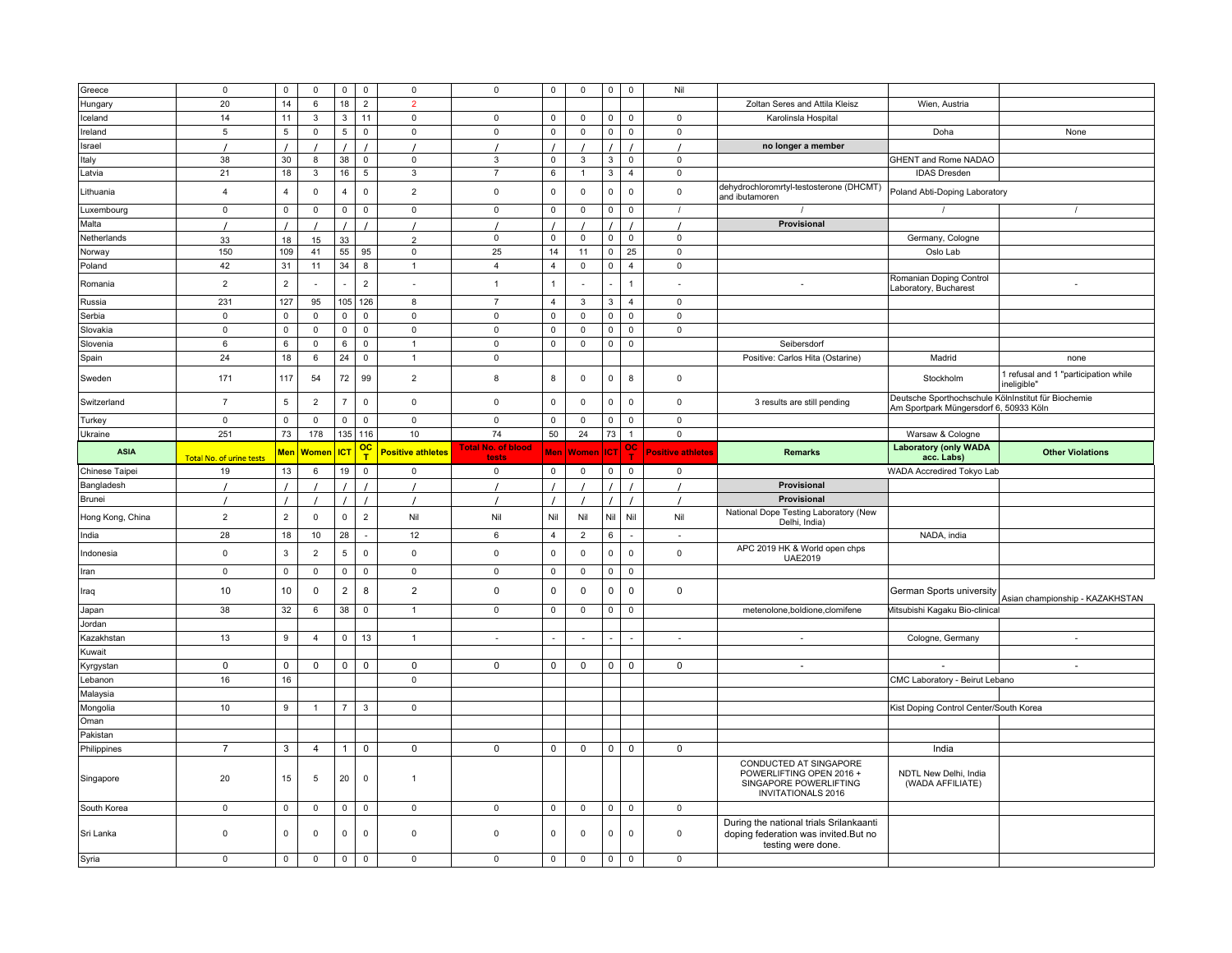| Greece               | $\mathsf 0$              | 0              | $\mathsf 0$    | $\mathsf 0$     | $\mathsf 0$                 | $\mathsf 0$              | $\mathsf 0$                 | $\mathsf 0$    | $\mathsf 0$    | $\mathsf 0$         | $\mathsf 0$    | Nil                      |                                                                                                           |                                                                                               |                                                     |
|----------------------|--------------------------|----------------|----------------|-----------------|-----------------------------|--------------------------|-----------------------------|----------------|----------------|---------------------|----------------|--------------------------|-----------------------------------------------------------------------------------------------------------|-----------------------------------------------------------------------------------------------|-----------------------------------------------------|
| Hungary              | 20                       | 14             | 6              | $18\,$          | $\overline{2}$              | $\overline{2}$           |                             |                |                |                     |                |                          | Zoltan Seres and Attila Kleisz                                                                            | Wien, Austria                                                                                 |                                                     |
| Iceland              | 14                       | 11             | 3              | 3               | 11                          | $\mathbf 0$              | $\mathbf 0$                 | 0              | 0              | 0                   | 0              | 0                        | Karolinsla Hospital                                                                                       |                                                                                               |                                                     |
| Ireland              | 5                        | 5              | $\mathsf 0$    | $5\phantom{.0}$ | $\mathsf 0$                 | $\mathsf 0$              | $\mathsf 0$                 | $\mathsf 0$    | $\mathsf 0$    | $\mathsf 0$         | 0              | $\mathsf 0$              |                                                                                                           | Doha                                                                                          | None                                                |
| Israel               |                          |                |                |                 |                             |                          |                             |                |                | $\prime$            |                |                          | no longer a member                                                                                        |                                                                                               |                                                     |
| Italy                | 38                       | 30             | 8              | 38              | $\mathsf 0$                 | $\pmb{0}$                | $\mathbf 3$                 | $\mathsf 0$    | $\mathbf{3}$   | 3                   | $\mathsf 0$    | $\mathsf 0$              |                                                                                                           | <b>GHENT and Rome NADAO</b>                                                                   |                                                     |
| Latvia               | 21                       | 18             | 3              | 16              | $\overline{5}$              | $\mathbf{3}$             | $\overline{7}$              | 6              | $\mathbf{1}$   | $\mathbf{3}$        | $\overline{4}$ | $\mathbf 0$              |                                                                                                           | <b>IDAS Dresden</b>                                                                           |                                                     |
| Lithuania            | $\overline{4}$           | $\overline{4}$ | $\mathsf 0$    | $\overline{4}$  | $\mathsf 0$                 | $\overline{2}$           | $\mathsf 0$                 | $\mathsf 0$    | $\mathsf 0$    | $\mathsf 0$         | 0              | $\mathsf 0$              | dehydrochloromrtyl-testosterone (DHCMT)<br>and ibutamoren                                                 | Poland Abti-Doping Laboratory                                                                 |                                                     |
| Luxembourg           | $\mathbf{0}$             | 0              | $\mathbf 0$    | $\mathbf 0$     | $\mathsf 0$                 | $\mathbf 0$              | $\mathbf{0}$                | $\mathsf 0$    | $\mathsf 0$    | $\mathbf 0$         | $\mathbf 0$    | $\prime$                 | $\prime$                                                                                                  | $\prime$                                                                                      | $\prime$                                            |
| Malta                |                          |                |                |                 |                             |                          |                             |                |                | $\prime$            |                |                          | Provisional                                                                                               |                                                                                               |                                                     |
| Netherlands          | 33                       | 18             | 15             | 33              |                             | $\overline{2}$           | 0                           | $\mathsf 0$    | $\mathsf 0$    | $\mathsf 0$         | $\mathbf 0$    | $\mathbf 0$              |                                                                                                           | Germany, Cologne                                                                              |                                                     |
| Norway               | 150                      | 109            | 41             | 55              | 95                          | $\mathbf 0$              | 25                          | 14             | 11             | $\mathsf{O}\xspace$ | 25             | 0                        |                                                                                                           | Oslo Lab                                                                                      |                                                     |
| Poland               | 42                       | 31             | 11             | 34              | 8                           | $\mathbf{1}$             | $\overline{4}$              | $\overline{4}$ | $\mathsf 0$    | $\mathsf{O}\xspace$ | $\overline{4}$ | $\mathsf 0$              |                                                                                                           |                                                                                               |                                                     |
| Romania              | $\overline{2}$           | $\overline{2}$ | $\sim$         |                 | $\overline{2}$              | $\overline{\phantom{a}}$ | $\overline{1}$              | $\mathbf{1}$   |                |                     | $\mathbf{1}$   |                          |                                                                                                           | Romanian Doping Control<br>Laboratory, Bucharest                                              |                                                     |
| Russia               | 231                      | 127            | 95             | 105             | 126                         | 8                        | $\overline{7}$              | $\overline{4}$ | 3              | 3                   | $\overline{4}$ | $\mathbf{0}$             |                                                                                                           |                                                                                               |                                                     |
| Serbia               | $\mathsf 0$              | $\mathsf 0$    | $\mathsf 0$    | $\mathsf 0$     | $\mathsf 0$                 | $\mathsf 0$              | $\mathsf 0$                 | $\mathsf 0$    | $\mathsf 0$    | $\mathsf 0$         | $\mathsf 0$    | $\mathbf 0$              |                                                                                                           |                                                                                               |                                                     |
| Slovakia             | $\mathsf 0$              | 0              | 0              | $\mathsf 0$     | $\mathsf 0$                 | $\mathsf 0$              | $\mathsf 0$                 | $\mathsf 0$    | $\mathsf 0$    | $\mathsf 0$         | 0              | $\mathsf 0$              |                                                                                                           |                                                                                               |                                                     |
| Slovenia             | 6                        | 6              | $\mathbf 0$    | 6               | $\mathbf 0$                 | $\mathbf{1}$             | $\mathbf 0$                 | $\mathsf 0$    | $\mathsf 0$    | $\mathbf 0$         | $\mathbf 0$    |                          | Seibersdorf                                                                                               |                                                                                               |                                                     |
| Spain                | 24                       | 18             | 6              | 24              | $\mathsf 0$                 | $\mathbf{1}$             | $\mathsf 0$                 |                |                |                     |                |                          | Positive: Carlos Hita (Ostarine)                                                                          | Madrid                                                                                        | none                                                |
| Sweden               | 171                      | 117            | 54             | 72              | 99                          | $\overline{2}$           | 8                           | 8              | $\mathsf 0$    | $\mathsf 0$         | 8              | $\mathsf 0$              |                                                                                                           | Stockholm                                                                                     | 1 refusal and 1 "participation while<br>ineligible" |
| Switzerland          | $\overline{7}$           | $\,$ 5 $\,$    | $\overline{2}$ | $\overline{7}$  | $\mathbf 0$                 | $\mathsf 0$              | $\mathsf 0$                 | $\mathsf 0$    | $\mathsf 0$    | $\mathbf 0$         | $\mathbf 0$    | $\mathbf 0$              | 3 results are still pending                                                                               | Deutsche Sporthochschule KölnInstitut für Biochemie<br>Am Sportpark Müngersdorf 6, 50933 Köln |                                                     |
| Turkey               | $\mathsf 0$              | $\mathsf 0$    | $\mathsf 0$    | $\mathsf 0$     | $\mathsf 0$                 | $\mathsf 0$              | $\mathsf 0$                 | $\mathsf 0$    | $\mathsf 0$    | $\mathsf 0$         | $\mathsf 0$    | $\Omega$                 |                                                                                                           |                                                                                               |                                                     |
| Ukraine              | 251                      | 73             | 178            | 135             | 116                         | 10                       | 74                          | 50             | 24             | 73                  | $\overline{1}$ | 0                        |                                                                                                           | Warsaw & Cologne                                                                              |                                                     |
| <b>ASIA</b>          | Total No. of urine tests | <b>Men</b>     | <b>Women</b>   | <b>ICT</b>      | $\overline{\text{oc}}$<br>T | <b>Positive athletes</b> | Total No. of blood<br>tests |                | Men Women      | <b>ICT</b>          |                | <b>Positive athletes</b> | <b>Remarks</b>                                                                                            | <b>Laboratory (only WADA</b><br>acc. Labs)                                                    | <b>Other Violations</b>                             |
| Chinese Taipei       | 19                       | 13             | 6              | 19              | $\mathsf 0$                 | 0                        | $\mathbf 0$                 | $\mathbf 0$    | 0              | $\mathsf 0$         | 0              | 0                        |                                                                                                           | WADA Accredired Tokyo Lab                                                                     |                                                     |
|                      |                          |                |                |                 |                             |                          |                             |                |                |                     |                |                          |                                                                                                           |                                                                                               |                                                     |
| Bangladesh           |                          |                |                |                 |                             |                          |                             |                |                |                     |                |                          | Provisional                                                                                               |                                                                                               |                                                     |
| Brunei               |                          | $\overline{1}$ |                |                 |                             |                          |                             |                |                | $\prime$            | $\prime$       |                          | Provisional                                                                                               |                                                                                               |                                                     |
| Hong Kong, China     | $\overline{2}$           | $\overline{2}$ | $\mathsf 0$    | $\mathbf 0$     | $\overline{2}$              | Nil                      | Nil                         | Nil            | Nil            | Nil                 | Nil            | Nil                      | National Dope Testing Laboratory (New<br>Delhi, India)                                                    |                                                                                               |                                                     |
| India                | 28                       | 18             | 10             | 28              | $\sim$                      | 12                       | 6                           | $\overline{4}$ | $\overline{2}$ | 6                   | ÷,             |                          |                                                                                                           | NADA, india                                                                                   |                                                     |
| Indonesia            | $\mathsf 0$              | 3              | $\overline{2}$ | $\overline{5}$  | $\mathsf 0$                 | $\mathbf{0}$             | $\mathbf 0$                 | $\mathsf 0$    | $\mathbf{0}$   | $\mathsf 0$         | $\mathbf 0$    | $\mathbf 0$              | APC 2019 HK & World open chps<br><b>UAE2019</b>                                                           |                                                                                               |                                                     |
| Iran                 | $\mathsf 0$              | 0              | $\mathsf 0$    | $\mathbf 0$     | $\mathsf 0$                 | $\mathsf 0$              | $\mathsf 0$                 | $\mathsf 0$    | $\mathsf 0$    | $\mathbf 0$         | $\mathbf 0$    |                          |                                                                                                           |                                                                                               |                                                     |
| Iraq                 | 10                       | 10             | $\pmb{0}$      | $\overline{2}$  | 8                           | $\overline{2}$           | $\mathbf 0$                 | $\mathsf 0$    | $\mathsf 0$    | $\mathsf 0$         | 0              | $\mathsf 0$              |                                                                                                           | German Sports university                                                                      | Asian championship - KAZAKHSTAN                     |
| Japan                | 38                       | 32             | 6              | 38              | 0                           | $\mathbf{1}$             | $\mathbf 0$                 | 0              | 0              | $\mathbf 0$         | $\mathbf 0$    |                          | metenolone, boldione, clomifene                                                                           | Mitsubishi Kagaku Bio-clinical                                                                |                                                     |
| Jordan               |                          |                |                |                 |                             |                          |                             |                |                |                     |                |                          |                                                                                                           |                                                                                               |                                                     |
| Kazakhstan           | 13                       | 9              | $\overline{4}$ | $\mathsf 0$     | 13                          | $\mathbf{1}$             | $\sim$                      | $\sim$         | $\sim$         |                     | $\sim$         | $\sim$                   | $\sim$                                                                                                    | Cologne, Germany                                                                              | $\overline{\phantom{a}}$                            |
| Kuwait               |                          |                |                |                 |                             |                          |                             |                |                |                     |                |                          |                                                                                                           |                                                                                               |                                                     |
|                      | $\mathbf 0$              | 0              | $\mathbf 0$    | 0               | 0                           | $\mathbf 0$              | $\mathbf 0$                 | $\mathbf 0$    | $\mathbf 0$    | 0                   | 0              | $\mathbf 0$              | $\sim$                                                                                                    |                                                                                               | $\sim$                                              |
| Kyrgystan<br>Lebanon | 16                       | 16             |                |                 |                             | $\mathbf 0$              |                             |                |                |                     |                |                          |                                                                                                           | CMC Laboratory - Beirut Lebano                                                                |                                                     |
| Malaysia             |                          |                |                |                 |                             |                          |                             |                |                |                     |                |                          |                                                                                                           |                                                                                               |                                                     |
| Mongolia             | 10                       | 9              | $\mathbf{1}$   | $\overline{7}$  | 3                           | $\mathbf 0$              |                             |                |                |                     |                |                          |                                                                                                           | Kist Doping Control Center/South Korea                                                        |                                                     |
| Oman                 |                          |                |                |                 |                             |                          |                             |                |                |                     |                |                          |                                                                                                           |                                                                                               |                                                     |
| Pakistan             |                          |                |                |                 |                             |                          |                             |                |                |                     |                |                          |                                                                                                           |                                                                                               |                                                     |
| Philippines          | $\overline{7}$           | 3              | 4              | $\mathbf{1}$    | 0                           | 0                        | 0                           | 0              | 0              | $\mathbf 0$         | 0              | 0                        |                                                                                                           | India                                                                                         |                                                     |
| Singapore            | 20                       | 15             | 5              | 20              | $\mathsf 0$                 | $\mathbf{1}$             |                             |                |                |                     |                |                          | CONDUCTED AT SINGAPORE<br>POWERLIFTING OPEN 2016 +<br>SINGAPORE POWERLIFTING<br><b>INVITATIONALS 2016</b> | NDTL New Delhi, India<br>(WADA AFFILIATE)                                                     |                                                     |
| South Korea          | $\mathbf 0$              | 0              | $\mathbf 0$    | $\mathsf 0$     | $\mathsf 0$                 | $\mathsf 0$              | $\mathsf 0$                 | 0              | $\mathbf 0$    | $\mathsf 0$         | $\mathsf 0$    | $\mathbf 0$              |                                                                                                           |                                                                                               |                                                     |
| Sri Lanka            | $\mathsf 0$              | $\mathbf 0$    | $\mathsf 0$    | $\mathbf 0$     | $\mathbf 0$                 | $\mathsf 0$              | $\mathsf 0$                 | $\mathsf 0$    | $\mathsf 0$    | $\mathbf 0$         | 0              | $\mathsf 0$              | During the national trials Srilankaanti<br>doping federation was invited. But no<br>testing were done.    |                                                                                               |                                                     |